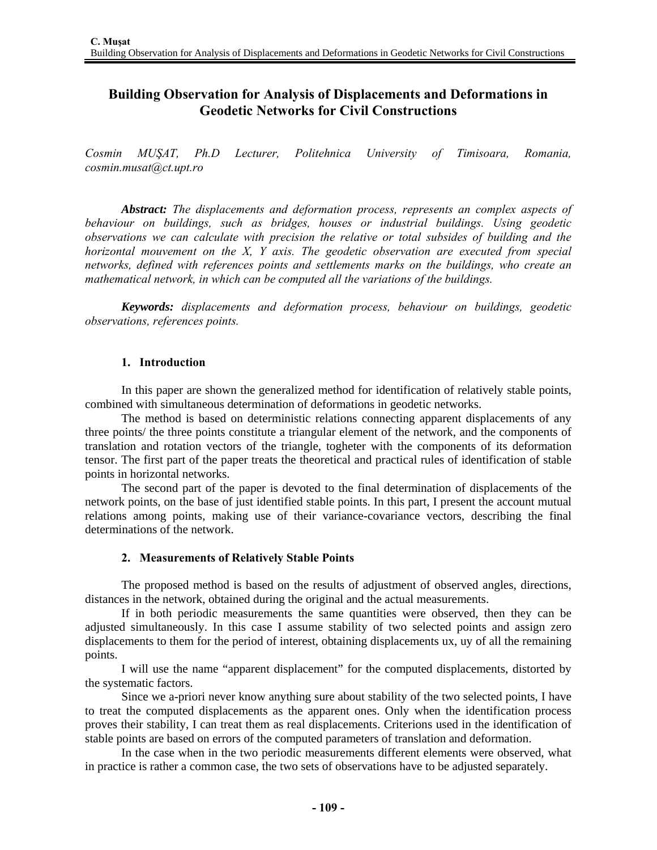# **Building Observation for Analysis of Displacements and Deformations in Geodetic Networks for Civil Constructions**

*Cosmin MUŞAT, Ph.D Lecturer, Politehnica University of Timisoara, Romania, cosmin.musat@ct.upt.ro* 

*Abstract: The displacements and deformation process, represents an complex aspects of behaviour on buildings, such as bridges, houses or industrial buildings. Using geodetic observations we can calculate with precision the relative or total subsides of building and the horizontal mouvement on the X, Y axis. The geodetic observation are executed from special networks, defined with references points and settlements marks on the buildings, who create an mathematical network, in which can be computed all the variations of the buildings.* 

*Keywords: displacements and deformation process, behaviour on buildings, geodetic observations, references points.* 

### **1. Introduction**

In this paper are shown the generalized method for identification of relatively stable points, combined with simultaneous determination of deformations in geodetic networks.

The method is based on deterministic relations connecting apparent displacements of any three points/ the three points constitute a triangular element of the network, and the components of translation and rotation vectors of the triangle, togheter with the components of its deformation tensor. The first part of the paper treats the theoretical and practical rules of identification of stable points in horizontal networks.

The second part of the paper is devoted to the final determination of displacements of the network points, on the base of just identified stable points. In this part, I present the account mutual relations among points, making use of their variance-covariance vectors, describing the final determinations of the network.

### **2. Measurements of Relatively Stable Points**

The proposed method is based on the results of adjustment of observed angles, directions, distances in the network, obtained during the original and the actual measurements.

If in both periodic measurements the same quantities were observed, then they can be adjusted simultaneously. In this case I assume stability of two selected points and assign zero displacements to them for the period of interest, obtaining displacements ux, uy of all the remaining points.

I will use the name "apparent displacement" for the computed displacements, distorted by the systematic factors.

Since we a-priori never know anything sure about stability of the two selected points, I have to treat the computed displacements as the apparent ones. Only when the identification process proves their stability, I can treat them as real displacements. Criterions used in the identification of stable points are based on errors of the computed parameters of translation and deformation.

In the case when in the two periodic measurements different elements were observed, what in practice is rather a common case, the two sets of observations have to be adjusted separately.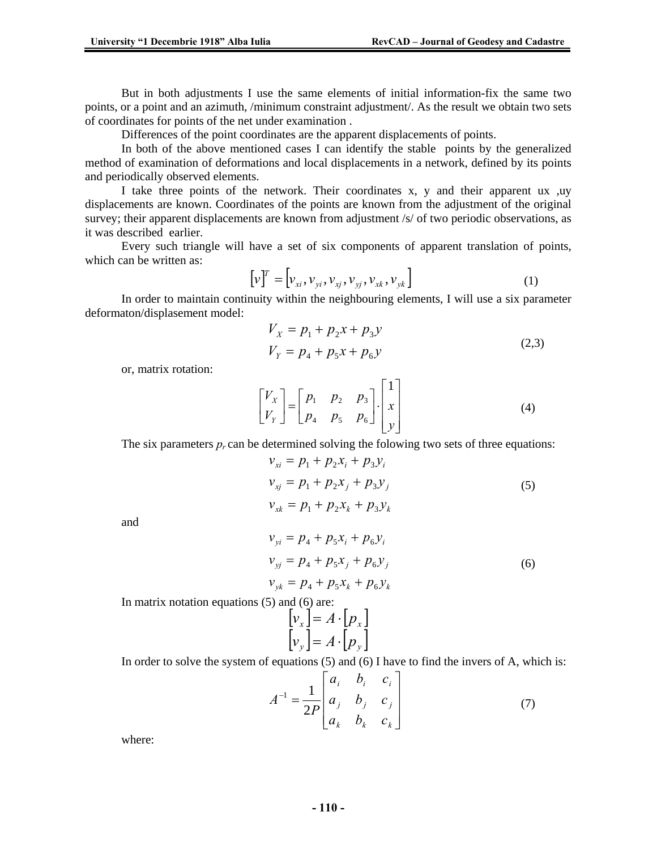But in both adjustments I use the same elements of initial information-fix the same two points, or a point and an azimuth, /minimum constraint adjustment/. As the result we obtain two sets of coordinates for points of the net under examination .

Differences of the point coordinates are the apparent displacements of points.

In both of the above mentioned cases I can identify the stable points by the generalized method of examination of deformations and local displacements in a network, defined by its points and periodically observed elements.

I take three points of the network. Their coordinates x, y and their apparent ux ,uy displacements are known. Coordinates of the points are known from the adjustment of the original survey; their apparent displacements are known from adjustment /s/ of two periodic observations, as it was described earlier.

Every such triangle will have a set of six components of apparent translation of points, which can be written as:

$$
\left[\mathbf{v}\right]^T = \left[\mathbf{v}_{xi}, \mathbf{v}_{yi}, \mathbf{v}_{xj}, \mathbf{v}_{yj}, \mathbf{v}_{xk}, \mathbf{v}_{yk}\right]
$$
\n(1)

In order to maintain continuity within the neighbouring elements, I will use a six parameter deformaton/displasement model:

$$
V_X = p_1 + p_2 x + p_3 y
$$
  
\n
$$
V_Y = p_4 + p_5 x + p_6 y
$$
\n(2,3)

or, matrix rotation:

$$
\begin{bmatrix} V_X \\ V_Y \end{bmatrix} = \begin{bmatrix} p_1 & p_2 & p_3 \\ p_4 & p_5 & p_6 \end{bmatrix} \cdot \begin{bmatrix} 1 \\ x \\ y \end{bmatrix}
$$
 (4)

The six parameters  $p_r$  can be determined solving the folowing two sets of three equations:

$$
\begin{aligned} v_{xi} &= p_1 + p_2 x_i + p_3 y_i \\ v_{xj} &= p_1 + p_2 x_j + p_3 y_j \\ v_{xk} &= p_1 + p_2 x_k + p_3 y_k \end{aligned} \tag{5}
$$

and

$$
v_{yi} = p_4 + p_5 x_i + p_6 y_i
$$
  
\n
$$
v_{yi} = p_4 + p_5 x_j + p_6 y_j
$$
  
\n
$$
v_{yk} = p_4 + p_5 x_k + p_6 y_k
$$
\n(6)

In matrix notation equations (5) and (6) are:

$$
\begin{bmatrix} v_x \end{bmatrix} = A \cdot \begin{bmatrix} p_x \end{bmatrix}
$$

$$
\begin{bmatrix} v_y \end{bmatrix} = A \cdot \begin{bmatrix} p_y \end{bmatrix}
$$

In order to solve the system of equations  $(5)$  and  $(6)$  I have to find the invers of A, which is:

$$
A^{-1} = \frac{1}{2P} \begin{bmatrix} a_i & b_i & c_i \\ a_j & b_j & c_j \\ a_k & b_k & c_k \end{bmatrix}
$$
 (7)

where: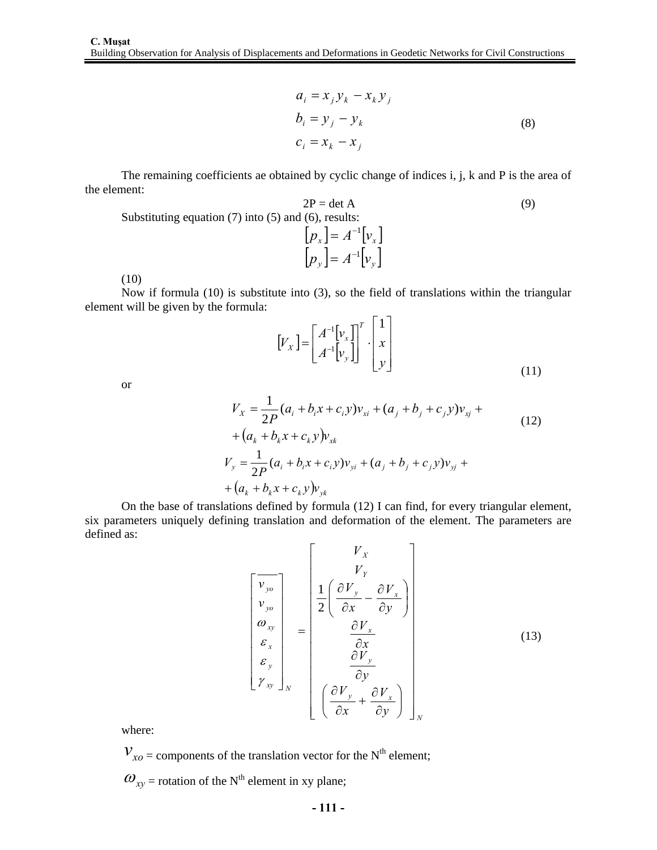$$
a_i = x_j y_k - x_k y_j
$$
  
\n
$$
b_i = y_j - y_k
$$
  
\n
$$
c_i = x_k - x_j
$$
 (8)

The remaining coefficients ae obtained by cyclic change of indices i, j, k and P is the area of the element:

$$
2P = \det A
$$
 (9)  
Substituting equation (7) into (5) and (6), results:

$$
\begin{bmatrix} p_x \end{bmatrix} = A^{-1} \begin{bmatrix} v_x \end{bmatrix}
$$

$$
\begin{bmatrix} p_y \end{bmatrix} = A^{-1} \begin{bmatrix} v_y \end{bmatrix}
$$

(10)

Now if formula (10) is substitute into (3), so the field of translations within the triangular element will be given by the formula:

$$
\begin{bmatrix} V_X \end{bmatrix} = \begin{bmatrix} A^{-1} \begin{bmatrix} v_x \\ A^{-1} \end{bmatrix}^T \\ A^{-1} \begin{bmatrix} v_y \end{bmatrix} \end{bmatrix}^T \cdot \begin{bmatrix} 1 \\ x \\ y \end{bmatrix}
$$
\n(11)

or

$$
V_x = \frac{1}{2P}(a_i + b_i x + c_i y)v_{xi} + (a_j + b_j + c_j y)v_{xj} + (a_k + b_k x + c_k y)v_{xk}
$$
  
+ 
$$
(12)
$$
  

$$
V_y = \frac{1}{2P}(a_i + b_i x + c_i y)v_{yi} + (a_j + b_j + c_j y)v_{yj} + (a_k + b_k x + c_k y)v_{yk}
$$

On the base of translations defined by formula (12) I can find, for every triangular element, six parameters uniquely defining translation and deformation of the element. The parameters are defined as:

$$
\begin{bmatrix}\n\overline{v_{yo}} \\
\overline{v_{yo}} \\
\overline{v_{yo}} \\
\overline{v_{yo}} \\
\overline{v_{xy}} \\
\overline{\epsilon}_{x} \\
\overline{\epsilon}_{y} \\
\overline{v_{xy}}\n\end{bmatrix} = \begin{bmatrix}\nV_{X} \\
V_{Y} \\
\frac{1}{2} \left( \frac{\partial V_{y}}{\partial x} - \frac{\partial V_{x}}{\partial y} \right) \\
\frac{\partial V_{x}}{\partial x} \\
\frac{\partial V_{y}}{\partial y} \\
\frac{\partial V_{y}}{\partial x} + \frac{\partial V_{x}}{\partial y}\n\end{bmatrix}
$$
\n(13)

where:

 $V_{xo}$  = components of the translation vector for the N<sup>th</sup> element;

 $\omega_{xy}$  = rotation of the N<sup>th</sup> element in xy plane;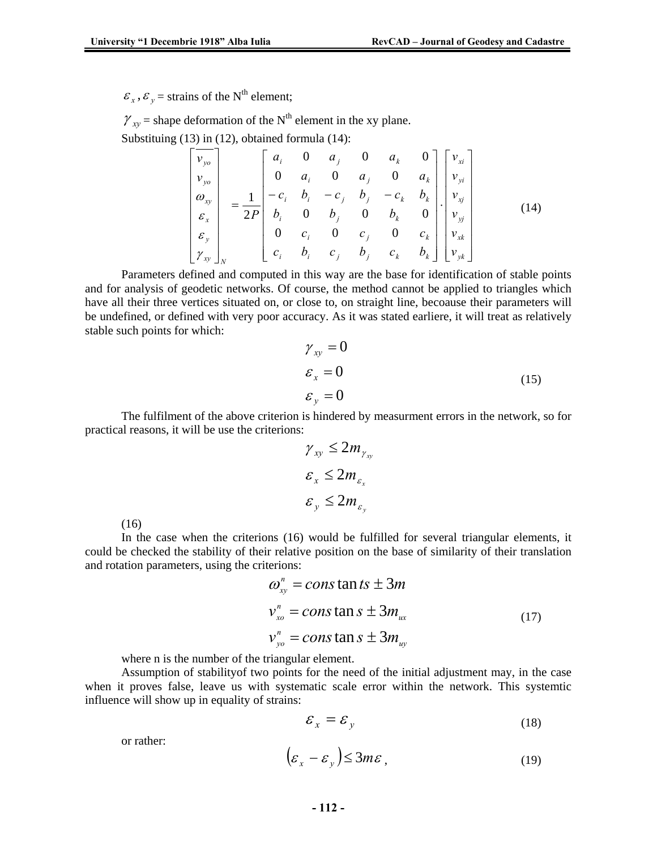$\varepsilon$ <sub>x</sub>,  $\varepsilon$ <sub>y</sub> = strains of the N<sup>th</sup> element;

 $\gamma_{xy}$  = shape deformation of the N<sup>th</sup> element in the xy plane.

Substituing (13) in (12), obtained formula (14):

$$
\begin{bmatrix}\n\overline{v}_{yo} \\
v_{yo} \\
\frac{\partial v_{yo}}{\partial x} \\
\overline{\varepsilon}_{x} \\
\overline{\varepsilon}_{y} \\
\overline{\varepsilon}_{y} \\
\overline{\varepsilon}_{x} \\
\overline{\varepsilon}_{y} \\
\overline{\varepsilon}_{y} \\
\overline{\varepsilon}_{y} \\
\overline{\varepsilon}_{b} \\
\overline{\varepsilon}_{i} \\
\overline{\varepsilon}_{j} \\
\overline{\varepsilon}_{i} \\
\overline{\varepsilon}_{j} \\
\overline{\varepsilon}_{i} \\
\overline{\varepsilon}_{j} \\
\overline{\varepsilon}_{i} \\
\overline{\varepsilon}_{j} \\
\overline{\varepsilon}_{j} \\
\overline{\varepsilon}_{j} \\
\overline{\varepsilon}_{j} \\
\overline{\varepsilon}_{j} \\
\overline{\varepsilon}_{j} \\
\overline{\varepsilon}_{j} \\
\overline{\varepsilon}_{j} \\
\overline{\varepsilon}_{j} \\
\overline{\varepsilon}_{j} \\
\overline{\varepsilon}_{j} \\
\overline{\varepsilon}_{k} \\
\overline{\varepsilon}_{k} \\
\overline{\varepsilon}_{k} \\
\overline{\varepsilon}_{k} \\
\overline{\varepsilon}_{k} \\
\overline{\varepsilon}_{k} \\
\overline{\varepsilon}_{k} \\
\overline{\varepsilon}_{k} \\
\overline{\varepsilon}_{k} \\
\overline{\varepsilon}_{k} \\
\overline{\varepsilon}_{k} \\
\overline{\varepsilon}_{k} \\
\overline{\varepsilon}_{k} \\
\overline{\varepsilon}_{k} \\
\overline{\varepsilon}_{k} \\
\overline{\varepsilon}_{k} \\
\overline{\varepsilon}_{k} \\
\overline{\varepsilon}_{k} \\
\overline{\varepsilon}_{k} \\
\overline{\varepsilon}_{k} \\
\overline{\varepsilon}_{k} \\
\overline{\varepsilon}_{k} \\
\overline{\varepsilon}_{k} \\
\overline{\varepsilon}_{k} \\
\overline{\varepsilon}_{k} \\
\overline{\varepsilon}_{k} \\
\overline{\varepsilon}_{k} \\
\overline{\varepsilon}_{k} \\
\overline{\varepsilon}_{k} \\
\overline{\varepsilon}_{k} \\
\overline{\varepsilon}_{k} \\
\overline{\varepsilon}_{k} \\
\overline{\varepsilon}_{k} \\
\overline{\varepsilon}_{k} \\
\overline{\varepsilon}_{k} \\
\overline{\varepsilon}_{k} \\
\overline{\varepsilon}_{k} \\
\overline{\varepsilon}_{k} \\
\overline{\varepsilon}_{k} \\
\overline{\varepsilon}_{k} \\
$$

Parameters defined and computed in this way are the base for identification of stable points and for analysis of geodetic networks. Of course, the method cannot be applied to triangles which have all their three vertices situated on, or close to, on straight line, becoause their parameters will be undefined, or defined with very poor accuracy. As it was stated earliere, it will treat as relatively stable such points for which:

$$
\gamma_{xy} = 0
$$
  
\n
$$
\varepsilon_x = 0
$$
  
\n
$$
\varepsilon_y = 0
$$
\n(15)

The fulfilment of the above criterion is hindered by measurment errors in the network, so for practical reasons, it will be use the criterions:

$$
\gamma_{xy} \le 2m_{\gamma_{xy}}
$$
  

$$
\varepsilon_x \le 2m_{\varepsilon_x}
$$
  

$$
\varepsilon_y \le 2m_{\varepsilon_y}
$$

(16)

In the case when the criterions (16) would be fulfilled for several triangular elements, it could be checked the stability of their relative position on the base of similarity of their translation and rotation parameters, using the criterions:

$$
\omega_{xy}^{n} = \text{const} \tan ts \pm 3m
$$
  

$$
v_{xo}^{n} = \text{const} \tan s \pm 3m_{ux}
$$
  

$$
v_{yo}^{n} = \text{const} \tan s \pm 3m_{uy}
$$
 (17)

where n is the number of the triangular element.

Assumption of stabilityof two points for the need of the initial adjustment may, in the case when it proves false, leave us with systematic scale error within the network. This systemtic influence will show up in equality of strains:

$$
\mathcal{E}_x = \mathcal{E}_y \tag{18}
$$

or rather:

$$
\left(\varepsilon_{x} - \varepsilon_{y}\right) \leq 3m\varepsilon\,,\tag{19}
$$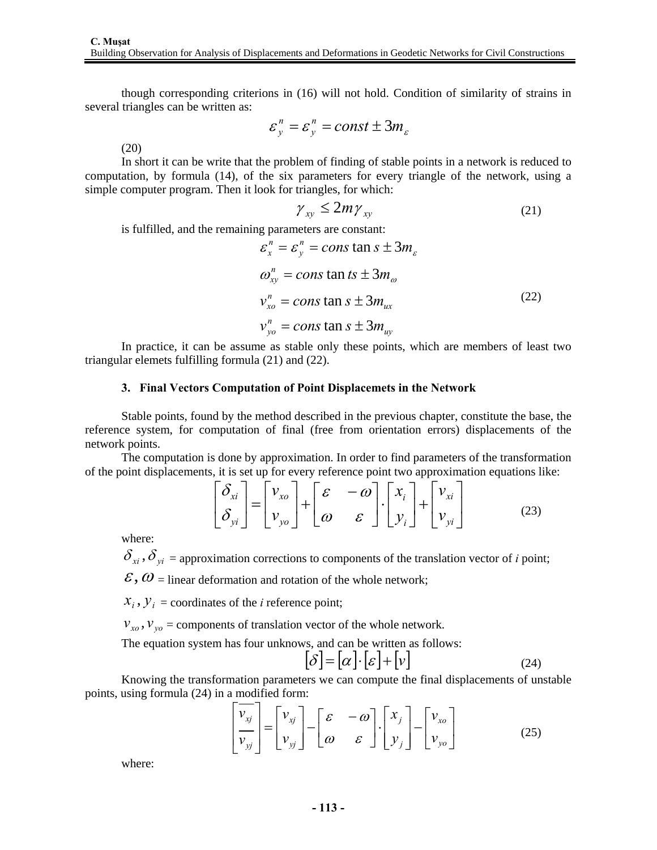though corresponding criterions in (16) will not hold. Condition of similarity of strains in several triangles can be written as:

$$
\varepsilon_y^n = \varepsilon_y^n = const \pm 3m_\varepsilon
$$

(20)

In short it can be write that the problem of finding of stable points in a network is reduced to computation, by formula (14), of the six parameters for every triangle of the network, using a simple computer program. Then it look for triangles, for which:

$$
\gamma_{xy} \le 2m\gamma_{xy} \tag{21}
$$

is fulfilled, and the remaining parameters are constant:

$$
\varepsilon_x^n = \varepsilon_y^n = \text{const} \tan s \pm 3m_\varepsilon
$$
  
\n
$$
\omega_{xy}^n = \text{const} \tan ts \pm 3m_\omega
$$
  
\n
$$
v_{xo}^n = \text{const} \tan s \pm 3m_{ux}
$$
  
\n
$$
v_{yo}^n = \text{const} \tan s \pm 3m_{uy}
$$
\n(22)

In practice, it can be assume as stable only these points, which are members of least two triangular elemets fulfilling formula (21) and (22).

#### **3. Final Vectors Computation of Point Displacemets in the Network**

Stable points, found by the method described in the previous chapter, constitute the base, the reference system, for computation of final (free from orientation errors) displacements of the network points.

The computation is done by approximation. In order to find parameters of the transformation of the point displacements, it is set up for every reference point two approximation equations like:

$$
\begin{bmatrix} \delta_{xi} \\ \delta_{yi} \end{bmatrix} = \begin{bmatrix} v_{xo} \\ v_{yo} \end{bmatrix} + \begin{bmatrix} \varepsilon & -\omega \\ \omega & \varepsilon \end{bmatrix} \cdot \begin{bmatrix} x_i \\ y_i \end{bmatrix} + \begin{bmatrix} v_{xi} \\ v_{yi} \end{bmatrix}
$$
(23)

where:

 $\delta_{x_i}, \delta_{y_i}$  = approximation corrections to components of the translation vector of *i* point;

 $\mathcal{E}, \omega$  = linear deformation and rotation of the whole network;

 $X_i$ ,  $Y_i$  = coordinates of the *i* reference point;

 $v_{xo}$ ,  $v_{vo}$  = components of translation vector of the whole network.

The equation system has four unknows, and can be written as follows:

$$
[\delta] = [\alpha] \cdot [\varepsilon] + [\nu] \tag{24}
$$

Knowing the transformation parameters we can compute the final displacements of unstable points, using formula (24) in a modified form:

$$
\left[\frac{\overline{v}_{xj}}{v_{yj}}\right] = \left[\begin{matrix} v_{xj} \\ v_{yj} \end{matrix}\right] - \left[\begin{matrix} \varepsilon & -\omega \\ \omega & \varepsilon \end{matrix}\right] \cdot \left[\begin{matrix} x_j \\ y_j \end{matrix}\right] - \left[\begin{matrix} v_{xo} \\ v_{yo} \end{matrix}\right]
$$
(25)

where: